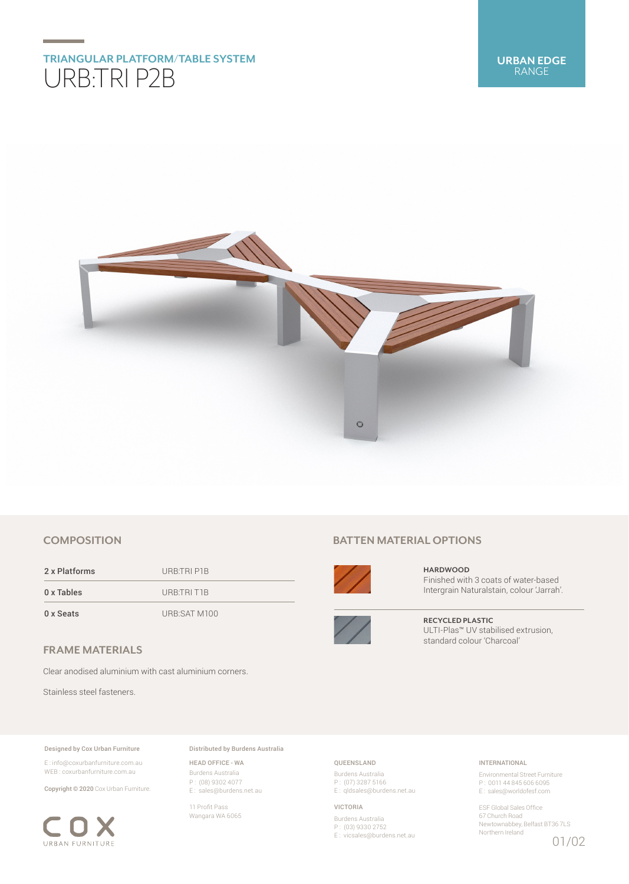# **TRIANGULAR PLATFORM/TABLE SYSTEM** URB:TRI P2B



# **COMPOSITION**

2 x Platforms URB:TRI P1B 0 x Tables URB:TRI T1B

0 x Seats URB:SAT M100

## **FRAME MATERIALS**

Clear anodised aluminium with cast aluminium corners.

Stainless steel fasteners.

#### Designed by Cox Urban Furniture

E : info@coxurbanfurniture.com.au WEB : coxurbanfurniture.com.au

Copyright © 2020 Cox Urban Furniture.



Distributed by Burdens Australia

HEAD OFFICE - WA Burdens Australia P : (08) 9302 4077 E : sales@burdens.net.au

11 Profit Pass Wangara WA 6065

## **BATTEN MATERIAL OPTIONS**



**HARDWOOD** Finished with 3 coats of water-based Intergrain Naturalstain, colour 'Jarrah'.



**RECYCLED PLASTIC** ULTI-Plas™ UV stabilised extrusion, standard colour 'Charcoal'

## QUEENSLAND

Burdens Australia P : (07) 3287 5166 E : qldsales@burdens.net.au

VICTORIA

Burdens Australia P : (03) 9330 2752 E : vicsales@burdens.net.au

## INTERNATIONAL

Environmental Street Furniture P : 0011 44 845 606 6095 E : sales@worldofesf.com

ESF Global Sales Office 67 Church Road Newtownabbey, Belfast BT36 7LS Northern Ireland